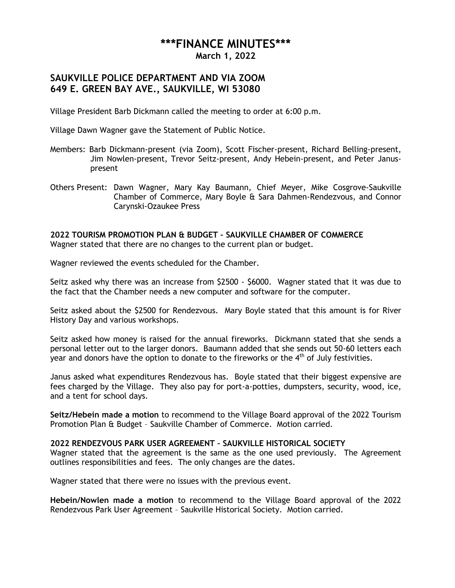## **\*\*\*FINANCE MINUTES\*\*\***

**March 1, 2022**

## **SAUKVILLE POLICE DEPARTMENT AND VIA ZOOM 649 E. GREEN BAY AVE., SAUKVILLE, WI 53080**

Village President Barb Dickmann called the meeting to order at 6:00 p.m.

Village Dawn Wagner gave the Statement of Public Notice.

- Members: Barb Dickmann-present (via Zoom), Scott Fischer-present, Richard Belling-present, Jim Nowlen-present, Trevor Seitz-present, Andy Hebein-present, and Peter Januspresent
- Others Present: Dawn Wagner, Mary Kay Baumann, Chief Meyer, Mike Cosgrove-Saukville Chamber of Commerce, Mary Boyle & Sara Dahmen-Rendezvous, and Connor Carynski-Ozaukee Press

**2022 TOURISM PROMOTION PLAN & BUDGET – SAUKVILLE CHAMBER OF COMMERCE** Wagner stated that there are no changes to the current plan or budget.

Wagner reviewed the events scheduled for the Chamber.

Seitz asked why there was an increase from \$2500 - \$6000. Wagner stated that it was due to the fact that the Chamber needs a new computer and software for the computer.

Seitz asked about the \$2500 for Rendezvous. Mary Boyle stated that this amount is for River History Day and various workshops.

Seitz asked how money is raised for the annual fireworks. Dickmann stated that she sends a personal letter out to the larger donors. Baumann added that she sends out 50-60 letters each year and donors have the option to donate to the fireworks or the  $4<sup>th</sup>$  of July festivities.

Janus asked what expenditures Rendezvous has. Boyle stated that their biggest expensive are fees charged by the Village. They also pay for port-a-potties, dumpsters, security, wood, ice, and a tent for school days.

**Seitz/Hebein made a motion** to recommend to the Village Board approval of the 2022 Tourism Promotion Plan & Budget – Saukville Chamber of Commerce. Motion carried.

## **2022 RENDEZVOUS PARK USER AGREEMENT – SAUKVILLE HISTORICAL SOCIETY**

Wagner stated that the agreement is the same as the one used previously. The Agreement outlines responsibilities and fees. The only changes are the dates.

Wagner stated that there were no issues with the previous event.

**Hebein/Nowlen made a motion** to recommend to the Village Board approval of the 2022 Rendezvous Park User Agreement – Saukville Historical Society. Motion carried.